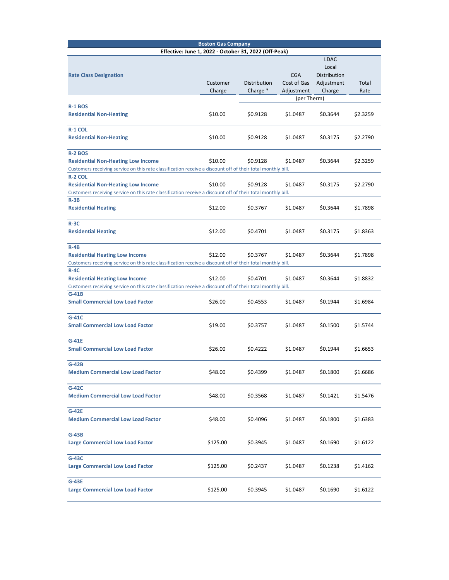| <b>Boston Gas Company</b>                                                                                               |          |              |             |              |          |  |  |  |  |
|-------------------------------------------------------------------------------------------------------------------------|----------|--------------|-------------|--------------|----------|--|--|--|--|
| Effective: June 1, 2022 - October 31, 2022 (Off-Peak)                                                                   |          |              |             |              |          |  |  |  |  |
|                                                                                                                         |          |              |             | <b>LDAC</b>  |          |  |  |  |  |
|                                                                                                                         |          |              |             | Local        |          |  |  |  |  |
| <b>Rate Class Designation</b>                                                                                           |          |              | <b>CGA</b>  | Distribution |          |  |  |  |  |
|                                                                                                                         | Customer | Distribution | Cost of Gas | Adjustment   | Total    |  |  |  |  |
|                                                                                                                         | Charge   | Charge *     | Adjustment  | Charge       | Rate     |  |  |  |  |
|                                                                                                                         |          | (per Therm)  |             |              |          |  |  |  |  |
| <b>R-1 BOS</b>                                                                                                          |          |              |             |              |          |  |  |  |  |
| <b>Residential Non-Heating</b>                                                                                          | \$10.00  | \$0.9128     | \$1.0487    | \$0.3644     | \$2.3259 |  |  |  |  |
|                                                                                                                         |          |              |             |              |          |  |  |  |  |
| R-1 COL                                                                                                                 |          |              |             |              |          |  |  |  |  |
| <b>Residential Non-Heating</b>                                                                                          | \$10.00  | \$0.9128     | \$1.0487    | \$0.3175     | \$2.2790 |  |  |  |  |
|                                                                                                                         |          |              |             |              |          |  |  |  |  |
| <b>R-2 BOS</b>                                                                                                          |          |              |             |              |          |  |  |  |  |
| <b>Residential Non-Heating Low Income</b>                                                                               | \$10.00  | \$0.9128     | \$1.0487    | \$0.3644     | \$2.3259 |  |  |  |  |
| Customers receiving service on this rate classification receive a discount off of their total monthly bill.             |          |              |             |              |          |  |  |  |  |
| <b>R-2 COL</b>                                                                                                          |          |              |             |              |          |  |  |  |  |
| <b>Residential Non-Heating Low Income</b>                                                                               | \$10.00  | \$0.9128     | \$1.0487    | \$0.3175     | \$2.2790 |  |  |  |  |
|                                                                                                                         |          |              |             |              |          |  |  |  |  |
| Customers receiving service on this rate classification receive a discount off of their total monthly bill.<br>$R - 3B$ |          |              |             |              |          |  |  |  |  |
| <b>Residential Heating</b>                                                                                              | \$12.00  | \$0.3767     | \$1.0487    | \$0.3644     | \$1.7898 |  |  |  |  |
|                                                                                                                         |          |              |             |              |          |  |  |  |  |
| $R-3C$                                                                                                                  |          |              |             |              |          |  |  |  |  |
|                                                                                                                         |          |              |             |              |          |  |  |  |  |
| <b>Residential Heating</b>                                                                                              | \$12.00  | \$0.4701     | \$1.0487    | \$0.3175     | \$1.8363 |  |  |  |  |
| $R-4B$                                                                                                                  |          |              |             |              |          |  |  |  |  |
|                                                                                                                         |          |              |             |              |          |  |  |  |  |
| <b>Residential Heating Low Income</b>                                                                                   | \$12.00  | \$0.3767     | \$1.0487    | \$0.3644     | \$1.7898 |  |  |  |  |
| Customers receiving service on this rate classification receive a discount off of their total monthly bill.             |          |              |             |              |          |  |  |  |  |
| $R-4C$                                                                                                                  |          |              |             |              |          |  |  |  |  |
| <b>Residential Heating Low Income</b>                                                                                   | \$12.00  | \$0.4701     | \$1.0487    | \$0.3644     | \$1.8832 |  |  |  |  |
| Customers receiving service on this rate classification receive a discount off of their total monthly bill.             |          |              |             |              |          |  |  |  |  |
| $G-41B$                                                                                                                 |          |              |             |              |          |  |  |  |  |
| <b>Small Commercial Low Load Factor</b>                                                                                 | \$26.00  | \$0.4553     | \$1.0487    | \$0.1944     | \$1.6984 |  |  |  |  |
|                                                                                                                         |          |              |             |              |          |  |  |  |  |
| $G-41C$                                                                                                                 |          |              |             |              |          |  |  |  |  |
| <b>Small Commercial Low Load Factor</b>                                                                                 | \$19.00  | \$0.3757     | \$1.0487    | \$0.1500     | \$1.5744 |  |  |  |  |
|                                                                                                                         |          |              |             |              |          |  |  |  |  |
| G-41E                                                                                                                   |          |              |             |              |          |  |  |  |  |
| <b>Small Commercial Low Load Factor</b>                                                                                 | \$26.00  | \$0.4222     | \$1.0487    | \$0.1944     | \$1.6653 |  |  |  |  |
|                                                                                                                         |          |              |             |              |          |  |  |  |  |
| $G-42B$                                                                                                                 |          |              |             |              |          |  |  |  |  |
| <b>Medium Commercial Low Load Factor</b>                                                                                | \$48.00  | \$0.4399     | \$1.0487    | \$0.1800     | \$1.6686 |  |  |  |  |
|                                                                                                                         |          |              |             |              |          |  |  |  |  |
| $G-42C$                                                                                                                 |          |              |             |              |          |  |  |  |  |
| <b>Medium Commercial Low Load Factor</b>                                                                                | \$48.00  | \$0.3568     | \$1.0487    | \$0.1421     | \$1.5476 |  |  |  |  |
|                                                                                                                         |          |              |             |              |          |  |  |  |  |
| $G-42E$                                                                                                                 |          |              |             |              |          |  |  |  |  |
| <b>Medium Commercial Low Load Factor</b>                                                                                | \$48.00  | \$0.4096     | \$1.0487    | \$0.1800     | \$1.6383 |  |  |  |  |
|                                                                                                                         |          |              |             |              |          |  |  |  |  |
| $G-43B$                                                                                                                 |          |              |             |              |          |  |  |  |  |
| <b>Large Commercial Low Load Factor</b>                                                                                 | \$125.00 | \$0.3945     | \$1.0487    | \$0.1690     | \$1.6122 |  |  |  |  |
|                                                                                                                         |          |              |             |              |          |  |  |  |  |
| $G-43C$                                                                                                                 |          |              |             |              |          |  |  |  |  |
| <b>Large Commercial Low Load Factor</b>                                                                                 | \$125.00 | \$0.2437     | \$1.0487    | \$0.1238     | \$1.4162 |  |  |  |  |
|                                                                                                                         |          |              |             |              |          |  |  |  |  |
| $G-43E$                                                                                                                 |          |              |             |              |          |  |  |  |  |
|                                                                                                                         |          |              |             |              |          |  |  |  |  |
| <b>Large Commercial Low Load Factor</b>                                                                                 | \$125.00 | \$0.3945     | \$1.0487    | \$0.1690     | \$1.6122 |  |  |  |  |
|                                                                                                                         |          |              |             |              |          |  |  |  |  |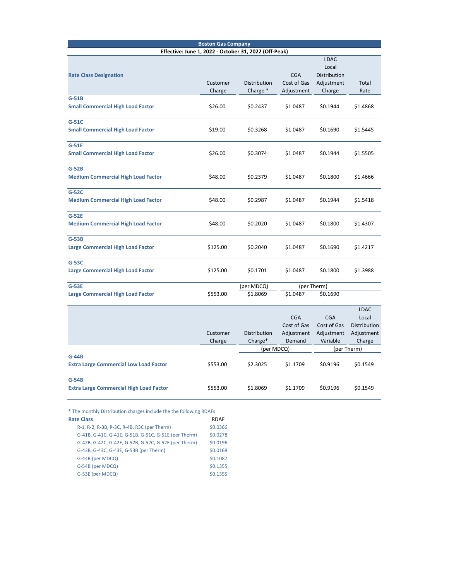|                                                                    | <b>Boston Gas Company</b> |                                                       |             |              |              |  |
|--------------------------------------------------------------------|---------------------------|-------------------------------------------------------|-------------|--------------|--------------|--|
|                                                                    |                           | Effective: June 1, 2022 - October 31, 2022 (Off-Peak) |             |              |              |  |
|                                                                    |                           |                                                       |             | <b>LDAC</b>  |              |  |
|                                                                    |                           |                                                       |             | Local        |              |  |
| <b>Rate Class Designation</b>                                      |                           |                                                       | <b>CGA</b>  | Distribution |              |  |
|                                                                    | Customer                  | Distribution                                          | Cost of Gas | Adjustment   | Total        |  |
|                                                                    | Charge                    | Charge *                                              | Adjustment  | Charge       | Rate         |  |
| $G-51B$                                                            |                           |                                                       |             |              |              |  |
| <b>Small Commercial High Load Factor</b>                           | \$26.00                   | \$0.2437                                              | \$1.0487    | \$0.1944     | \$1.4868     |  |
|                                                                    |                           |                                                       |             |              |              |  |
| $G-51C$                                                            |                           |                                                       |             |              |              |  |
| <b>Small Commercial High Load Factor</b>                           | \$19.00                   | \$0.3268                                              | \$1.0487    | \$0.1690     | \$1.5445     |  |
| G-51E                                                              |                           |                                                       |             |              |              |  |
| <b>Small Commercial High Load Factor</b>                           | \$26.00                   | \$0.3074                                              | \$1.0487    | \$0.1944     | \$1.5505     |  |
|                                                                    |                           |                                                       |             |              |              |  |
| $G-52B$                                                            |                           |                                                       |             |              |              |  |
| <b>Medium Commercial High Load Factor</b>                          | \$48.00                   | \$0.2379                                              | \$1.0487    | \$0.1800     | \$1.4666     |  |
|                                                                    |                           |                                                       |             |              |              |  |
| $G-52C$                                                            |                           |                                                       | \$1.0487    |              |              |  |
| <b>Medium Commercial High Load Factor</b>                          | \$48.00                   | \$0.2987                                              |             | \$0.1944     | \$1.5418     |  |
| $G-52E$                                                            |                           |                                                       |             |              |              |  |
| <b>Medium Commercial High Load Factor</b>                          | \$48.00                   | \$0.2020                                              | \$1.0487    | \$0.1800     | \$1.4307     |  |
|                                                                    |                           |                                                       |             |              |              |  |
| $G-53B$                                                            |                           |                                                       |             |              |              |  |
| <b>Large Commercial High Load Factor</b>                           | \$125.00                  | \$0.2040                                              | \$1.0487    | \$0.1690     | \$1.4217     |  |
|                                                                    |                           |                                                       |             |              |              |  |
| G-53C                                                              |                           |                                                       |             |              |              |  |
| <b>Large Commercial High Load Factor</b>                           | \$125.00                  | \$0.1701                                              | \$1.0487    | \$0.1800     | \$1.3988     |  |
| $G-53E$                                                            |                           | (per MDCQ)                                            |             | (per Therm)  |              |  |
| Large Commercial High Load Factor                                  | \$553.00                  | \$1.8069                                              | \$1.0487    | \$0.1690     |              |  |
|                                                                    |                           |                                                       |             |              |              |  |
|                                                                    |                           |                                                       |             |              | <b>LDAC</b>  |  |
|                                                                    |                           |                                                       | <b>CGA</b>  | <b>CGA</b>   | Local        |  |
|                                                                    |                           |                                                       | Cost of Gas | Cost of Gas  | Distribution |  |
|                                                                    | Customer                  | Distribution                                          | Adjustment  | Adjustment   | Adjustment   |  |
|                                                                    | Charge                    | Charge*                                               | Demand      | Variable     | Charge       |  |
|                                                                    |                           | (per MDCQ)                                            |             | (per Therm)  |              |  |
| $G-44B$                                                            |                           |                                                       |             |              |              |  |
| <b>Extra Large Commercial Low Load Factor</b>                      | \$553.00                  | \$2.3025                                              | \$1.1709    | \$0.9196     | \$0.1549     |  |
| $G-54B$                                                            |                           |                                                       |             |              |              |  |
| <b>Extra Large Commercial High Load Factor</b>                     | \$553.00                  | \$1.8069                                              | \$1.1709    | \$0.9196     | \$0.1549     |  |
|                                                                    |                           |                                                       |             |              |              |  |
|                                                                    |                           |                                                       |             |              |              |  |
| * The monthly Distribution charges include the the following RDAFs |                           |                                                       |             |              |              |  |
| <b>Rate Class</b>                                                  | <b>RDAF</b>               |                                                       |             |              |              |  |
| R-1, R-2, R-3B, R-3C, R-4B, R3C (per Therm)                        | \$0.0366                  |                                                       |             |              |              |  |
| G-41B, G-41C, G-41E, G-51B, G-51C, G-51E (per Therm)               | \$0.0278                  |                                                       |             |              |              |  |
|                                                                    | \$0.0196                  |                                                       |             |              |              |  |
| G-42B, G-42C, G-42E, G-52B, G-52C, G-52E (per Therm)               |                           |                                                       |             |              |              |  |
| G-43B, G-43C, G-43E, G-53B (per Therm)                             | \$0.0168                  |                                                       |             |              |              |  |
| G-44B (per MDCQ)                                                   | \$0.1087                  |                                                       |             |              |              |  |
| G-54B (per MDCQ)                                                   | \$0.1355                  |                                                       |             |              |              |  |